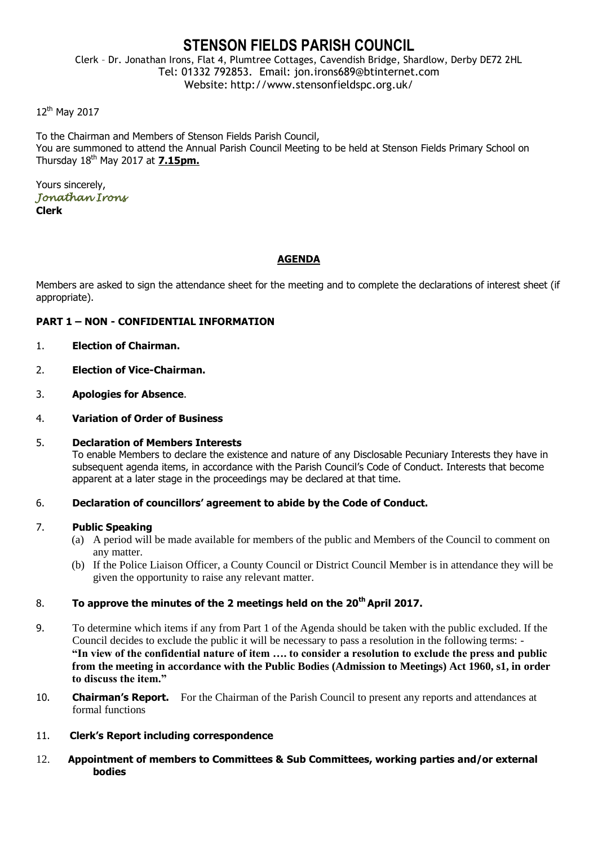# **STENSON FIELDS PARISH COUNCIL**

Clerk – Dr. Jonathan Irons, Flat 4, Plumtree Cottages, Cavendish Bridge, Shardlow, Derby DE72 2HL Tel: 01332 792853. Email: jon.irons689@btinternet.com Website: http://www.stensonfieldspc.org.uk/

12<sup>th</sup> May 2017

To the Chairman and Members of Stenson Fields Parish Council, You are summoned to attend the Annual Parish Council Meeting to be held at Stenson Fields Primary School on Thursday 18th May 2017 at **7.15pm.**

Yours sincerely, *Jonathan Irons*  **Clerk**

# **AGENDA**

Members are asked to sign the attendance sheet for the meeting and to complete the declarations of interest sheet (if appropriate).

# **PART 1 – NON - CONFIDENTIAL INFORMATION**

- 1. **Election of Chairman.**
- 2. **Election of Vice-Chairman.**
- 3. **Apologies for Absence**.
- 4. **Variation of Order of Business**

#### 5. **Declaration of Members Interests**

To enable Members to declare the existence and nature of any Disclosable Pecuniary Interests they have in subsequent agenda items, in accordance with the Parish Council's Code of Conduct. Interests that become apparent at a later stage in the proceedings may be declared at that time.

6. **Declaration of councillors' agreement to abide by the Code of Conduct.**

#### 7. **Public Speaking**

- (a) A period will be made available for members of the public and Members of the Council to comment on any matter.
- (b) If the Police Liaison Officer, a County Council or District Council Member is in attendance they will be given the opportunity to raise any relevant matter.

# 8. **To approve the minutes of the 2 meetings held on the 20th April 2017.**

- 9. To determine which items if any from Part 1 of the Agenda should be taken with the public excluded. If the Council decides to exclude the public it will be necessary to pass a resolution in the following terms: - **"In view of the confidential nature of item …. to consider a resolution to exclude the press and public from the meeting in accordance with the Public Bodies (Admission to Meetings) Act 1960, s1, in order to discuss the item."**
- 10. **Chairman's Report.** For the Chairman of the Parish Council to present any reports and attendances at formal functions
- 11. **Clerk's Report including correspondence**
- 12. **Appointment of members to Committees & Sub Committees, working parties and/or external bodies**